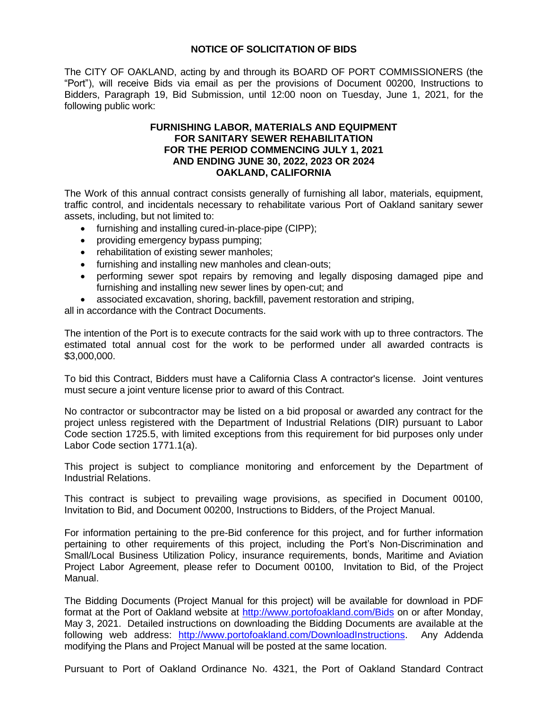## **NOTICE OF SOLICITATION OF BIDS**

The CITY OF OAKLAND, acting by and through its BOARD OF PORT COMMISSIONERS (the "Port"), will receive Bids via email as per the provisions of Document 00200, Instructions to Bidders, Paragraph 19, Bid Submission, until 12:00 noon on Tuesday, June 1, 2021, for the following public work:

## **FURNISHING LABOR, MATERIALS AND EQUIPMENT FOR SANITARY SEWER REHABILITATION FOR THE PERIOD COMMENCING JULY 1, 2021 AND ENDING JUNE 30, 2022, 2023 OR 2024 OAKLAND, CALIFORNIA**

The Work of this annual contract consists generally of furnishing all labor, materials, equipment, traffic control, and incidentals necessary to rehabilitate various Port of Oakland sanitary sewer assets, including, but not limited to:

- furnishing and installing cured-in-place-pipe (CIPP);
- providing emergency bypass pumping;
- rehabilitation of existing sewer manholes;
- furnishing and installing new manholes and clean-outs;
- performing sewer spot repairs by removing and legally disposing damaged pipe and furnishing and installing new sewer lines by open-cut; and
- associated excavation, shoring, backfill, pavement restoration and striping,

all in accordance with the Contract Documents.

The intention of the Port is to execute contracts for the said work with up to three contractors. The estimated total annual cost for the work to be performed under all awarded contracts is \$3,000,000.

To bid this Contract, Bidders must have a California Class A contractor's license. Joint ventures must secure a joint venture license prior to award of this Contract.

No contractor or subcontractor may be listed on a bid proposal or awarded any contract for the project unless registered with the Department of Industrial Relations (DIR) pursuant to Labor Code section 1725.5, with limited exceptions from this requirement for bid purposes only under Labor Code section 1771.1(a).

This project is subject to compliance monitoring and enforcement by the Department of Industrial Relations.

This contract is subject to prevailing wage provisions, as specified in Document 00100, Invitation to Bid, and Document 00200, Instructions to Bidders, of the Project Manual.

For information pertaining to the pre-Bid conference for this project, and for further information pertaining to other requirements of this project, including the Port's Non-Discrimination and Small/Local Business Utilization Policy, insurance requirements, bonds, Maritime and Aviation Project Labor Agreement, please refer to Document 00100, Invitation to Bid, of the Project Manual.

The Bidding Documents (Project Manual for this project) will be available for download in PDF format at the Port of Oakland website at<http://www.portofoakland.com/Bids> on or after Monday, May 3, 2021. Detailed instructions on downloading the Bidding Documents are available at the following web address: [http://www.portofoakland.com/DownloadInstructions.](http://www.portofoakland.com/DownloadInstructions) Any Addenda modifying the Plans and Project Manual will be posted at the same location.

Pursuant to Port of Oakland Ordinance No. 4321, the Port of Oakland Standard Contract